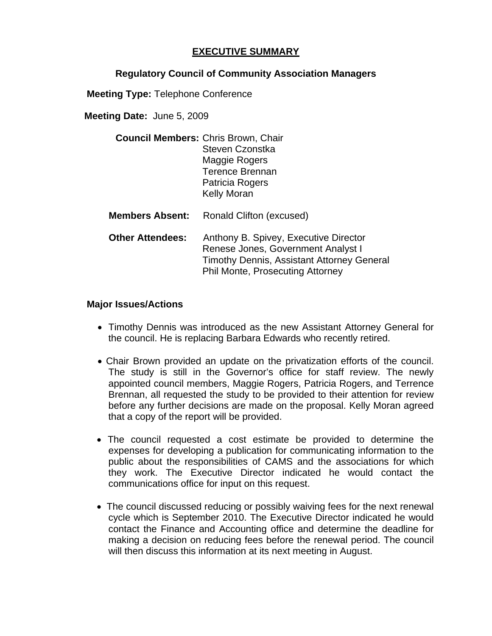## **EXECUTIVE SUMMARY**

## **Regulatory Council of Community Association Managers**

**Meeting Type:** Telephone Conference

**Meeting Date:** June 5, 2009

| <b>Council Members: Chris Brown, Chair</b> |                        |
|--------------------------------------------|------------------------|
|                                            | Steven Czonstka        |
|                                            | Maggie Rogers          |
|                                            | <b>Terence Brennan</b> |
|                                            | <b>Patricia Rogers</b> |
|                                            | <b>Kelly Moran</b>     |
|                                            |                        |

**Members Absent:** Ronald Clifton (excused)

 **Other Attendees:** Anthony B. Spivey, Executive Director Renese Jones, Government Analyst I Timothy Dennis, Assistant Attorney General Phil Monte, Prosecuting Attorney

## **Major Issues/Actions**

- Timothy Dennis was introduced as the new Assistant Attorney General for the council. He is replacing Barbara Edwards who recently retired.
- Chair Brown provided an update on the privatization efforts of the council. The study is still in the Governor's office for staff review. The newly appointed council members, Maggie Rogers, Patricia Rogers, and Terrence Brennan, all requested the study to be provided to their attention for review before any further decisions are made on the proposal. Kelly Moran agreed that a copy of the report will be provided.
- The council requested a cost estimate be provided to determine the expenses for developing a publication for communicating information to the public about the responsibilities of CAMS and the associations for which they work. The Executive Director indicated he would contact the communications office for input on this request.
- The council discussed reducing or possibly waiving fees for the next renewal cycle which is September 2010. The Executive Director indicated he would contact the Finance and Accounting office and determine the deadline for making a decision on reducing fees before the renewal period. The council will then discuss this information at its next meeting in August.